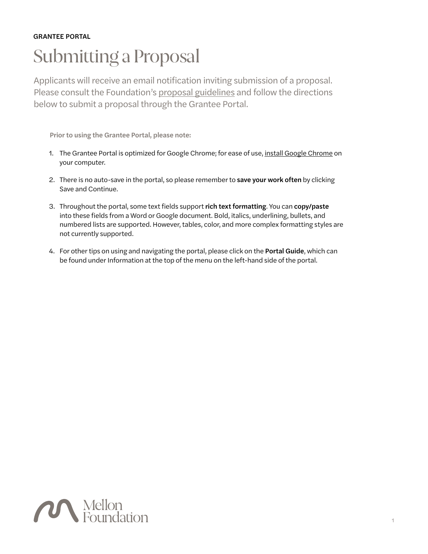#### GRANTEE PORTAL

# Submitting a Proposal

Applicants will receive an email notification inviting submission of a proposal. Please consult the Foundation's proposal guidelines and follow the directions below to submit a proposal through the Grantee Portal.

Prior to using the Grantee Portal, please note:

- 1. The Grantee Portal is optimized for Google Chrome; for ease of use, install Google Chrome on your computer.
- 2. There is no auto-save in the portal, so please remember to save your work often by clicking Save and Continue.
- 3. Throughout the portal, some text fields support rich text formatting. You can copy/paste into these fields from a Word or Google document. Bold, italics, underlining, bullets, and numbered lists are supported. However, tables, color, and more complex formatting styles are not currently supported.
- 4. For other tips on using and navigating the portal, please click on the Portal Guide, which can be found under Information at the top of the menu on the left-hand side of the portal.

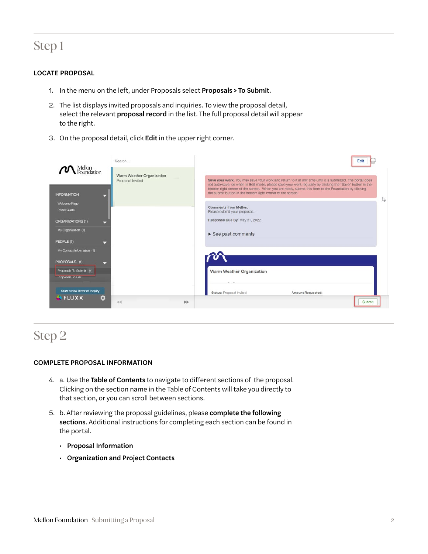### Step 1

#### LOCATE PROPOSAL

- 1. In the menu on the left, under Proposals select Proposals > To Submit.
- 2. The list displays invited proposals and inquiries. To view the proposal detail, select the relevant **proposal record** in the list. The full proposal detail will appear to the right.
- 3. On the proposal detail, click Edit in the upper right corner.



### Step 2

#### COMPLETE PROPOSAL INFORMATION

- 4. a. Use the Table of Contents to navigate to different sections of the proposal. Clicking on the section name in the Table of Contents will take you directly to that section, or you can scroll between sections.
- 5. b. After reviewing the [proposal guidelines](https://mellon.org/grants/grantmaking-policies-and-guidelines/grant-proposal-guidelines/), please complete the following sections. Additional instructions for completing each section can be found in the portal.
	- Proposal Information
	- Organization and Project Contacts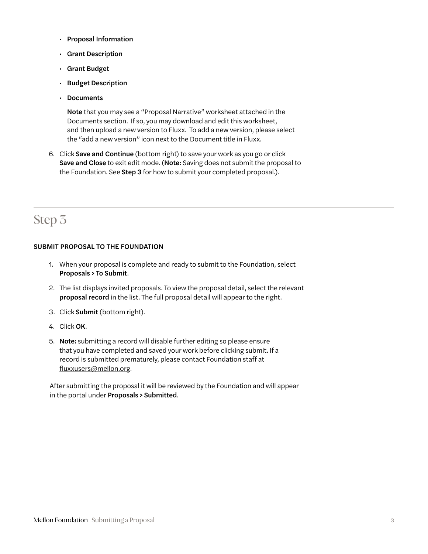- Proposal Information
- Grant Description
- Grant Budget
- Budget Description
- Documents

Note that you may see a "Proposal Narrative" worksheet attached in the Documents section. If so, you may download and edit this worksheet, and then upload a new version to Fluxx. To add a new version, please select the "add a new version" icon next to the Document title in Fluxx.

6. Click Save and Continue (bottom right) to save your work as you go or click Save and Close to exit edit mode. (Note: Saving does not submit the proposal to the Foundation. See Step 3 for how to submit your completed proposal.).

### Step 3

#### SUBMIT PROPOSAL TO THE FOUNDATION

- 1. When your proposal is complete and ready to submit to the Foundation, select Proposals > To Submit.
- 2. The list displays invited proposals. To view the proposal detail, select the relevant proposal record in the list. The full proposal detail will appear to the right.
- 3. Click Submit (bottom right).
- 4. Click OK.
- 5. Note: submitting a record will disable further editing so please ensure that you have completed and saved your work before clicking submit. If a record is submitted prematurely, please contact Foundation staff at [fluxxusers@mellon.org](mailto:fluxxusers%40mellon.org?subject=).

After submitting the proposal it will be reviewed by the Foundation and will appear in the portal under Proposals > Submitted.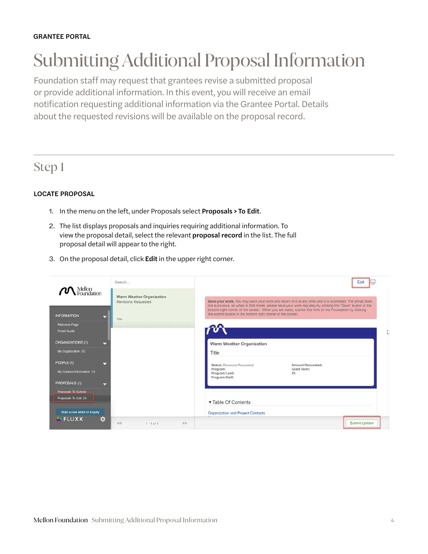# Submitting Additional Proposal Information

Foundation staff may request that grantees revise a submitted proposal or provide additional information. In this event, you will receive an email notification requesting additional information via the Grantee Portal. Details about the requested revisions will be available on the proposal record.

### Step 1

#### LOCATE PROPOSAL

- 1. In the menu on the left, under Proposals select Proposals > To Edit.
- 2. The list displays proposals and inquiries requiring additional information. To view the proposal detail, select the relevant proposal record in the list. The full proposal detail will appear to the right.
- 3. On the proposal detail, click Edit in the upper right corner.

|                                              | Search                                                         | Edit                                                                                                                                                                                                                    |
|----------------------------------------------|----------------------------------------------------------------|-------------------------------------------------------------------------------------------------------------------------------------------------------------------------------------------------------------------------|
|                                              | <b>Warm Weather Organization</b><br><b>Revisions Requested</b> | Save your work. You may save your work and return to it at any time until it is submitted. The portal does<br>not auto-save, so when in Edit mode, please save your work regularly by clicking the "Save" button in the |
| <b>INFORMATION</b>                           | Title                                                          | bottom right corner of the screen. When you are ready, submit this form to the Foundation by clicking<br>the submit button in the bottom right corner of the screen.                                                    |
| Welcome Page<br>Portal Guide                 |                                                                |                                                                                                                                                                                                                         |
| <b>ORGANIZATIONS (1)</b>                     |                                                                | Warm Weather Organization                                                                                                                                                                                               |
| My Organization (1)                          |                                                                | Title                                                                                                                                                                                                                   |
| PEOPLE (1)<br>≂                              |                                                                | <b>Status: Revisions Requested</b><br>Amount Requested:                                                                                                                                                                 |
| My Contact Information (1)                   |                                                                | Grant Term:<br>Program:<br>Program Lead:<br>ID:<br>Program Staff:                                                                                                                                                       |
| PROPOSALS (1)                                |                                                                |                                                                                                                                                                                                                         |
| Proposals To Submit<br>Proposals To Edit (1) |                                                                |                                                                                                                                                                                                                         |
|                                              |                                                                | ▼ Table Of Contents                                                                                                                                                                                                     |
| Start a new letter of inquiry                |                                                                | Organization and Project Contacts                                                                                                                                                                                       |
| <b>AFLUXX</b><br>a                           | $-44$<br><b>bb</b><br>$1 - 1$ of $1$                           | Submit Update                                                                                                                                                                                                           |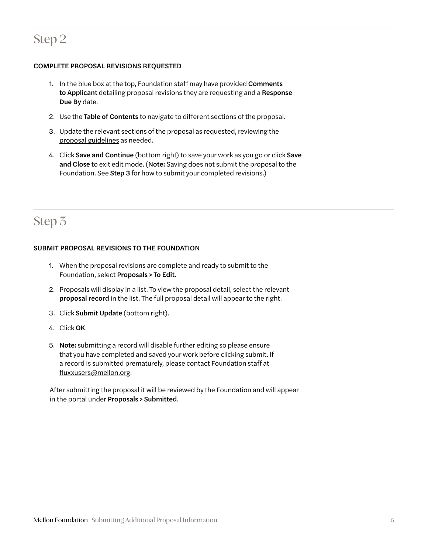## Step 2

#### COMPLETE PROPOSAL REVISIONS REQUESTED

- 1. In the blue box at the top, Foundation staff may have provided Comments to Applicant detailing proposal revisions they are requesting and a Response Due By date.
- 2. Use the Table of Contents to navigate to different sections of the proposal.
- 3. Update the relevant sections of the proposal as requested, reviewing the [proposal guidelines](https://mellon.org/grants/grantmaking-policies-and-guidelines/grant-proposal-guidelines/) as needed.
- 4. Click Save and Continue (bottom right) to save your work as you go or click Save and Close to exit edit mode. (Note: Saving does not submit the proposal to the Foundation. See Step 3 for how to submit your completed revisions.)

# Step 3

#### SUBMIT PROPOSAL REVISIONS TO THE FOUNDATION

- 1. When the proposal revisions are complete and ready to submit to the Foundation, select Proposals > To Edit.
- 2. Proposals will display in a list. To view the proposal detail, select the relevant proposal record in the list. The full proposal detail will appear to the right.
- 3. Click Submit Update (bottom right).
- 4. Click OK.
- 5. Note: submitting a record will disable further editing so please ensure that you have completed and saved your work before clicking submit. If a record is submitted prematurely, please contact Foundation staff at [fluxxusers@mellon.org](mailto:fluxxusers%40mellon.org?subject=).

After submitting the proposal it will be reviewed by the Foundation and will appear in the portal under Proposals > Submitted.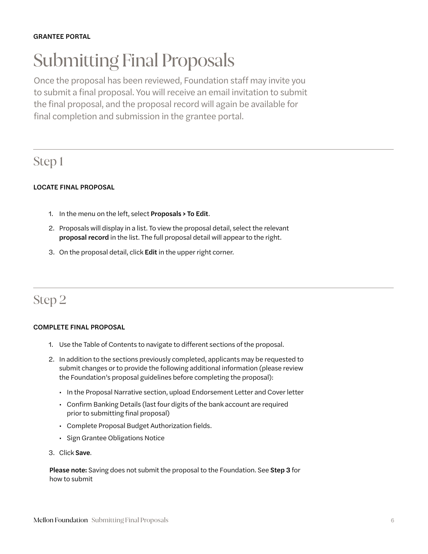# Submitting Final Proposals

Once the proposal has been reviewed, Foundation staff may invite you to submit a final proposal. You will receive an email invitation to submit the final proposal, and the proposal record will again be available for final completion and submission in the grantee portal.

### Step 1

#### LOCATE FINAL PROPOSAL

- 1. In the menu on the left, select Proposals > To Edit.
- 2. Proposals will display in a list. To view the proposal detail, select the relevant proposal record in the list. The full proposal detail will appear to the right.
- 3. On the proposal detail, click Edit in the upper right corner.

## Step 2

#### COMPLETE FINAL PROPOSAL

- 1. Use the Table of Contents to navigate to different sections of the proposal.
- 2. In addition to the sections previously completed, applicants may be requested to submit changes or to provide the following additional information (please review the Foundation's proposal guidelines before completing the proposal):
	- In the Proposal Narrative section, upload Endorsement Letter and Cover letter
	- Confirm Banking Details (last four digits of the bank account are required prior to submitting final proposal)
	- Complete Proposal Budget Authorization fields.
	- Sign Grantee Obligations Notice
- 3. Click Save.

Please note: Saving does not submit the proposal to the Foundation. See Step 3 for how to submit